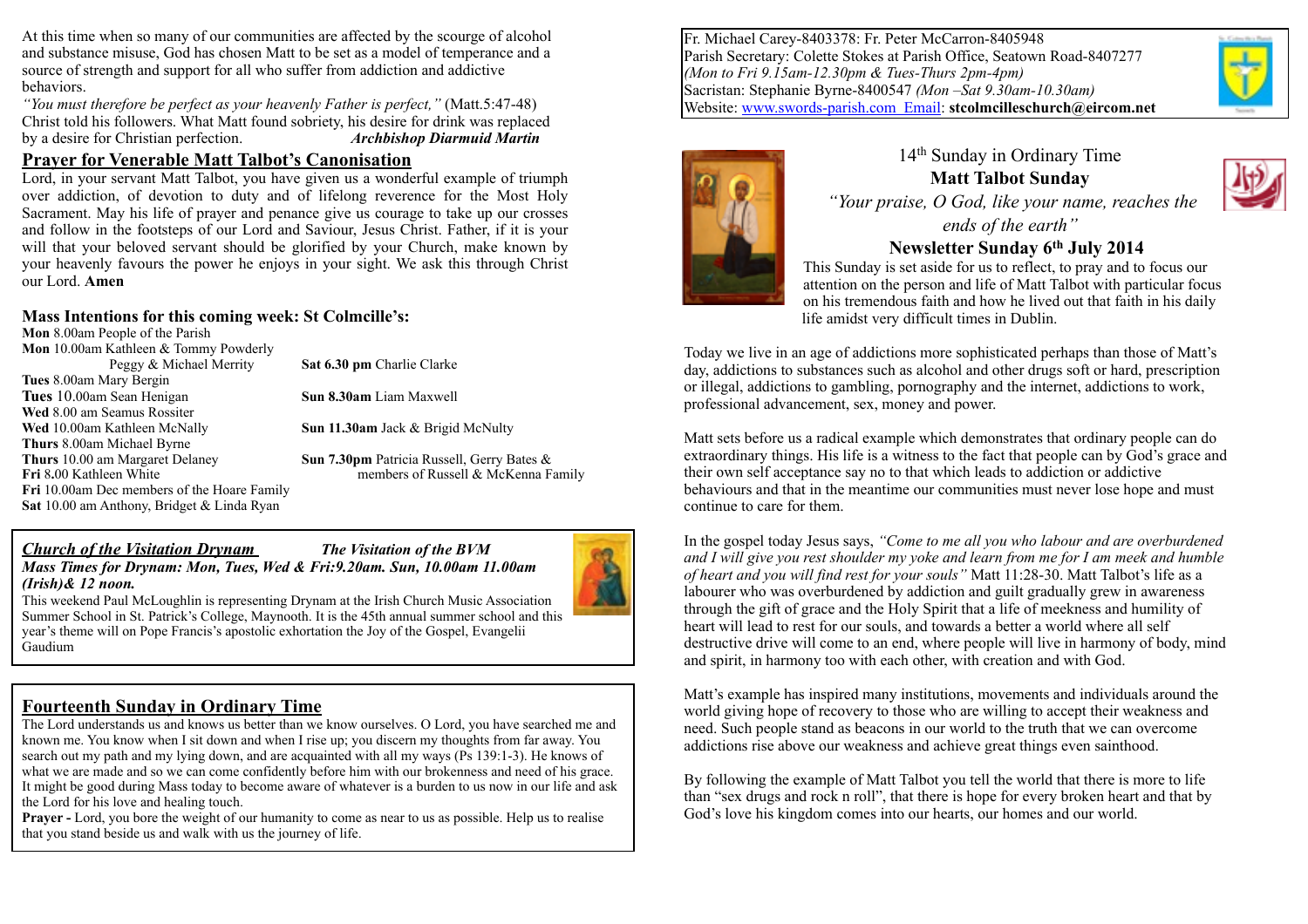At this time when so many of our communities are affected by the scourge of alcohol and substance misuse, God has chosen Matt to be set as a model of temperance and a source of strength and support for all who suffer from addiction and addictive behaviors.

*"You must therefore be perfect as your heavenly Father is perfect,"* (Matt.5:47-48) Christ told his followers. What Matt found sobriety, his desire for drink was replaced by a desire for Christian perfection. *Archbishop Diarmuid Martin*

#### **Prayer for Venerable Matt Talbot's Canonisation**

Lord, in your servant Matt Talbot, you have given us a wonderful example of triumph over addiction, of devotion to duty and of lifelong reverence for the Most Holy Sacrament. May his life of prayer and penance give us courage to take up our crosses and follow in the footsteps of our Lord and Saviour, Jesus Christ. Father, if it is your will that your beloved servant should be glorified by your Church, make known by your heavenly favours the power he enjoys in your sight. We ask this through Christ our Lord. **Amen**

#### **Mass Intentions for this coming week: St Colmcille's:**

**Mon** 8.00am People of the Parish **Mon** 10.00am Kathleen & Tommy Powderly Peggy & Michael Merrity **Sat 6.30 pm** Charlie Clarke **Tues** 8.00am Mary Bergin **Tues** 10.00am Sean Henigan **Sun 8.30am** Liam Maxwell **Wed** 8.00 am Seamus Rossiter **Wed** 10.00am Kathleen McNally **Sun 11.30am** Jack & Brigid McNulty **Thurs** 8.00am Michael Byrne **Thurs** 10.00 am Margaret Delaney **Sun 7.30pm** Patricia Russell, Gerry Bates & **Fri** 8.00 Kathleen White **members of Russell & McKenna Family Fri** 10.00am Dec members of the Hoare Family **Sat** 10.00 am Anthony, Bridget & Linda Ryan

#### *Church of the Visitation Drynam The Visitation of the BVM Mass Times for Drynam: Mon, Tues, Wed & Fri:9.20am. Sun, 10.00am 11.00am (Irish)& 12 noon.*



This weekend Paul McLoughlin is representing Drynam at the Irish Church Music Association Summer School in St. Patrick's College, Maynooth. It is the 45th annual summer school and this year's theme will on Pope Francis's apostolic exhortation the Joy of the Gospel, Evangelii Gaudium

# **Fourteenth Sunday in Ordinary Time**

The Lord understands us and knows us better than we know ourselves. O Lord, you have searched me and known me. You know when I sit down and when I rise up; you discern my thoughts from far away. You search out my path and my lying down, and are acquainted with all my ways (Ps 139:1-3). He knows of what we are made and so we can come confidently before him with our brokenness and need of his grace. It might be good during Mass today to become aware of whatever is a burden to us now in our life and ask the Lord for his love and healing touch.

**Prayer -** Lord, you bore the weight of our humanity to come as near to us as possible. Help us to realise that you stand beside us and walk with us the journey of life.

Fr. Michael Carey-8403378: Fr. Peter McCarron-8405948 Parish Secretary: Colette Stokes at Parish Office, Seatown Road-8407277 *(Mon to Fri 9.15am-12.30pm & Tues-Thurs 2pm-4pm)* Sacristan: Stephanie Byrne-8400547 *(Mon –Sat 9.30am-10.30am)* Website: [www.swords-parish.com Email:](http://www.swords-parish.com%20%20email) **stcolmcilleschurch@eircom.net**





### 14th Sunday in Ordinary Time **Matt Talbot Sunday**   *"Your praise, O God, like your name, reaches the ends of the earth"*

**Newsletter Sunday 6th July 2014** 

This Sunday is set aside for us to reflect, to pray and to focus our attention on the person and life of Matt Talbot with particular focus on his tremendous faith and how he lived out that faith in his daily life amidst very difficult times in Dublin.

Today we live in an age of addictions more sophisticated perhaps than those of Matt's day, addictions to substances such as alcohol and other drugs soft or hard, prescription or illegal, addictions to gambling, pornography and the internet, addictions to work, professional advancement, sex, money and power.

Matt sets before us a radical example which demonstrates that ordinary people can do extraordinary things. His life is a witness to the fact that people can by God's grace and their own self acceptance say no to that which leads to addiction or addictive behaviours and that in the meantime our communities must never lose hope and must continue to care for them.

In the gospel today Jesus says, *"Come to me all you who labour and are overburdened and I will give you rest shoulder my yoke and learn from me for I am meek and humble of heart and you will find rest for your souls"* Matt 11:28-30. Matt Talbot's life as a labourer who was overburdened by addiction and guilt gradually grew in awareness through the gift of grace and the Holy Spirit that a life of meekness and humility of heart will lead to rest for our souls, and towards a better a world where all self destructive drive will come to an end, where people will live in harmony of body, mind and spirit, in harmony too with each other, with creation and with God.

Matt's example has inspired many institutions, movements and individuals around the world giving hope of recovery to those who are willing to accept their weakness and need. Such people stand as beacons in our world to the truth that we can overcome addictions rise above our weakness and achieve great things even sainthood.

By following the example of Matt Talbot you tell the world that there is more to life than "sex drugs and rock n roll", that there is hope for every broken heart and that by God's love his kingdom comes into our hearts, our homes and our world.